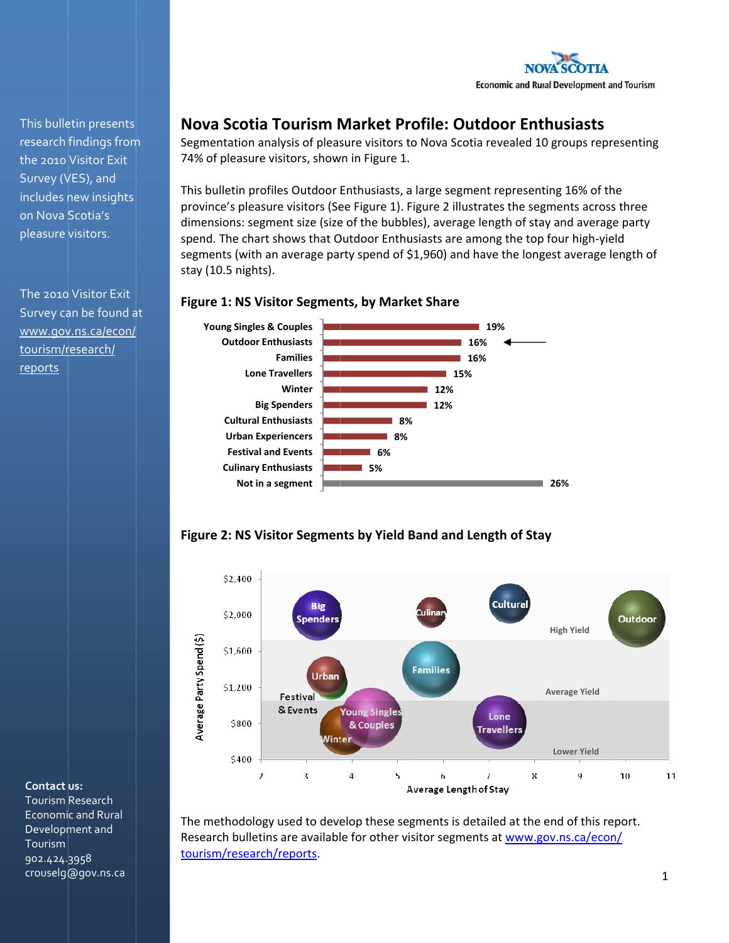

This bulletin presents research findings from the 2010 Visitor Exit Survey (VES), and includes new insights on Nova Scotia's pleasure visitors.

The 2010 Visitor Exit Survey can be found at www.gov.ns.ca/econ/ tourism/research/ reports

# Nova Scotia Tourism Market Profile: Outdoor Enthusiasts

Segmentation analysis of pleasure visitors to Nova Scotia revealed 10 groups representing 74% of pleasure visitors, shown in Figure 1.

This bulletin profiles Outdoor Enthusiasts, a large segment representing 16% of the province's pleasure visitors (See Figure 1). Figure 2 illustrates the segments across three dimensions: segment size (size of the bubbles), average length of stay and average party spend. The chart shows that Outdoor Enthusiasts are among the top four high-yield segments (with an average party spend of \$1,960) and have the longest average length of stay (10.5 nights).

### **Figure 1: NS Visitor Segments, by Market Share**







The methodology used to develop these segments is detailed at the end of this report. Research bulletins are available for other visitor segments at www.gov.ns.ca/econ/ tourism/research/reports.

#### Contact us:

Tourism Research **Economic and Rural** Development and Tourism 902.424.3958 crouselg@gov.ns.ca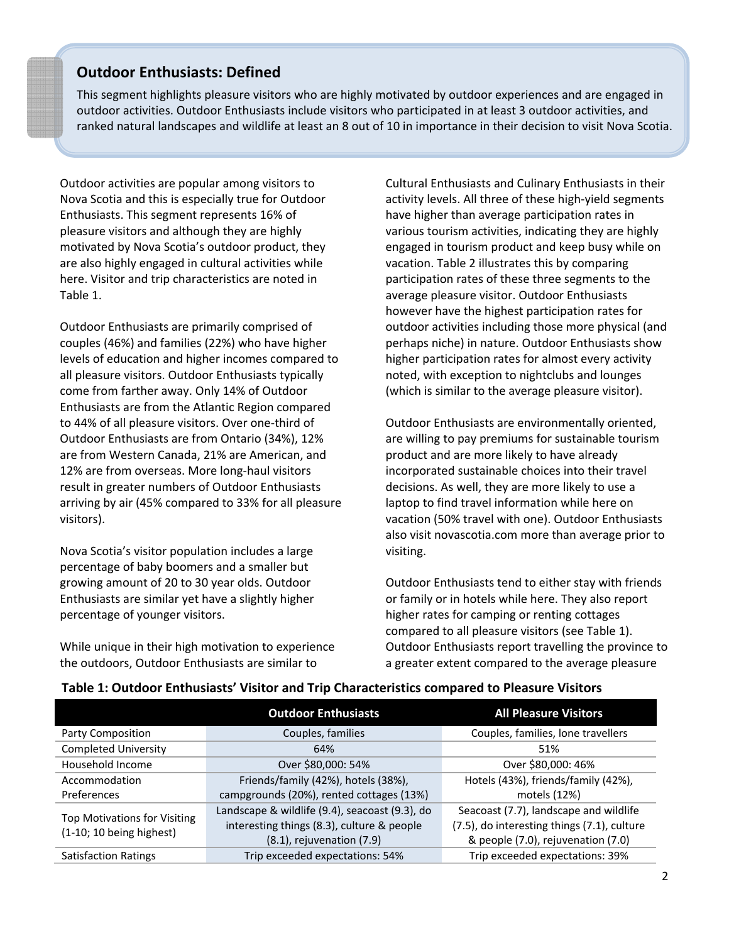## **Outdoor Enthusiasts: Defined**

This segment highlights pleasure visitors who are highly motivated by outdoor experiences and are engaged in outdoor activities. Outdoor Enthusiasts include visitors who participated in at least 3 outdoor activities, and ranked natural landscapes and wildlife at least an 8 out of 10 in importance in their decision to visit Nova Scotia.

Outdoor activities are popular among visitors to Nova Scotia and this is especially true for Outdoor Enthusiasts. This segment represents 16% of pleasure visitors and although they are highly motivated by Nova Scotia's outdoor product, they are also highly engaged in cultural activities while here. Visitor and trip characteristics are noted in Table 1.

Outdoor Enthusiasts are primarily comprised of couples (46%) and families (22%) who have higher levels of education and higher incomes compared to all pleasure visitors. Outdoor Enthusiasts typically come from farther away. Only 14% of Outdoor Enthusiasts are from the Atlantic Region compared to 44% of all pleasure visitors. Over one‐third of Outdoor Enthusiasts are from Ontario (34%), 12% are from Western Canada, 21% are American, and 12% are from overseas. More long‐haul visitors result in greater numbers of Outdoor Enthusiasts arriving by air (45% compared to 33% for all pleasure visitors).

Nova Scotia's visitor population includes a large percentage of baby boomers and a smaller but growing amount of 20 to 30 year olds. Outdoor Enthusiasts are similar yet have a slightly higher percentage of younger visitors.

While unique in their high motivation to experience the outdoors, Outdoor Enthusiasts are similar to

Cultural Enthusiasts and Culinary Enthusiasts in their activity levels. All three of these high‐yield segments have higher than average participation rates in various tourism activities, indicating they are highly engaged in tourism product and keep busy while on vacation. Table 2 illustrates this by comparing participation rates of these three segments to the average pleasure visitor. Outdoor Enthusiasts however have the highest participation rates for outdoor activities including those more physical (and perhaps niche) in nature. Outdoor Enthusiasts show higher participation rates for almost every activity noted, with exception to nightclubs and lounges (which is similar to the average pleasure visitor).

Outdoor Enthusiasts are environmentally oriented, are willing to pay premiums for sustainable tourism product and are more likely to have already incorporated sustainable choices into their travel decisions. As well, they are more likely to use a laptop to find travel information while here on vacation (50% travel with one). Outdoor Enthusiasts also visit novascotia.com more than average prior to visiting.

Outdoor Enthusiasts tend to either stay with friends or family or in hotels while here. They also report higher rates for camping or renting cottages compared to all pleasure visitors (see Table 1). Outdoor Enthusiasts report travelling the province to a greater extent compared to the average pleasure

|                                                                 | <b>Outdoor Enthusiasts</b>                                                                                                     | <b>All Pleasure Visitors</b>                                                                                                |  |
|-----------------------------------------------------------------|--------------------------------------------------------------------------------------------------------------------------------|-----------------------------------------------------------------------------------------------------------------------------|--|
| Party Composition                                               | Couples, families                                                                                                              | Couples, families, lone travellers                                                                                          |  |
| <b>Completed University</b>                                     | 64%                                                                                                                            | 51%                                                                                                                         |  |
| Household Income                                                | Over \$80,000: 54%                                                                                                             | Over \$80,000: 46%                                                                                                          |  |
| Accommodation                                                   | Friends/family (42%), hotels (38%),                                                                                            | Hotels (43%), friends/family (42%),                                                                                         |  |
| Preferences                                                     | campgrounds (20%), rented cottages (13%)                                                                                       | motels (12%)                                                                                                                |  |
| <b>Top Motivations for Visiting</b><br>(1-10; 10 being highest) | Landscape & wildlife (9.4), seacoast (9.3), do<br>interesting things (8.3), culture & people<br>$(8.1)$ , rejuvenation $(7.9)$ | Seacoast (7.7), landscape and wildlife<br>(7.5), do interesting things (7.1), culture<br>& people (7.0), rejuvenation (7.0) |  |
| <b>Satisfaction Ratings</b>                                     | Trip exceeded expectations: 54%                                                                                                | Trip exceeded expectations: 39%                                                                                             |  |

## **Table 1: Outdoor Enthusiasts' Visitor and Trip Characteristics compared to Pleasure Visitors**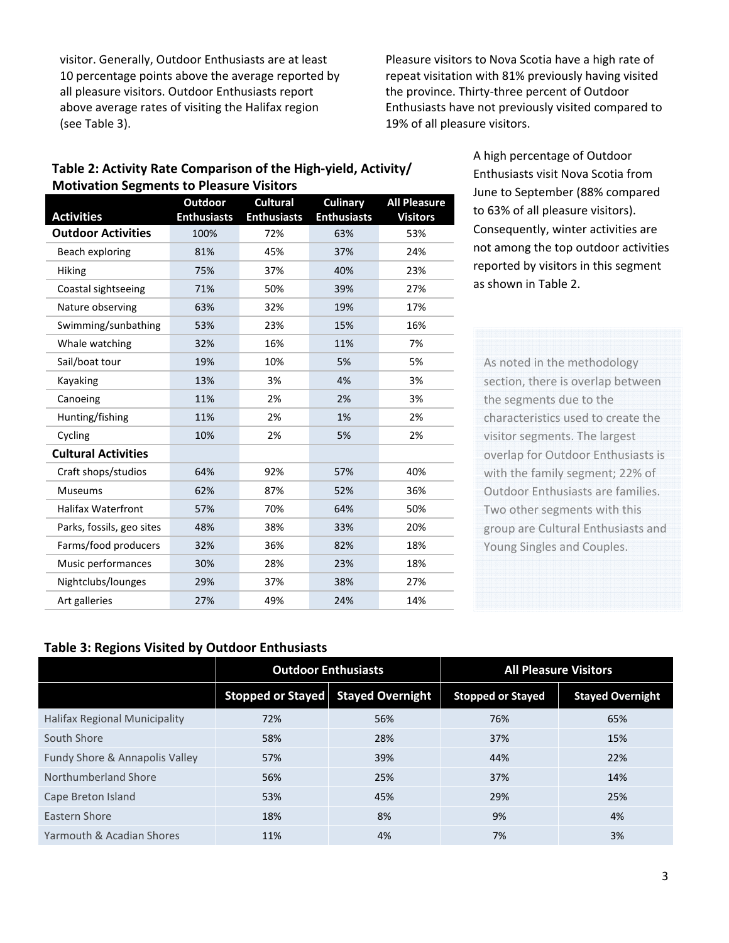visitor. Generally, Outdoor Enthusiasts are at least 10 percentage points above the average reported by all pleasure visitors. Outdoor Enthusiasts report above average rates of visiting the Halifax region (see Table 3).

Pleasure visitors to Nova Scotia have a high rate of repeat visitation with 81% previously having visited the province. Thirty‐three percent of Outdoor Enthusiasts have not previously visited compared to 19% of all pleasure visitors.

## **Table 2: Activity Rate Comparison of the High‐yield, Activity/ Motivation Segments to Pleasure Visitors**

| <b>Activities</b>          | Outdoor<br><b>Enthusiasts</b> | <b>Cultural</b><br><b>Enthusiasts</b> | <b>Culinary</b><br><b>Enthusiasts</b> | <b>All Pleasure</b><br><b>Visitors</b> |
|----------------------------|-------------------------------|---------------------------------------|---------------------------------------|----------------------------------------|
| <b>Outdoor Activities</b>  | 100%                          | 72%                                   | 63%                                   | 53%                                    |
| Beach exploring            | 81%                           | 45%                                   | 37%                                   | 24%                                    |
| <b>Hiking</b>              | 75%                           | 37%                                   | 40%                                   | 23%                                    |
| Coastal sightseeing        | 71%                           | 50%                                   | 39%                                   | 27%                                    |
| Nature observing           | 63%                           | 32%                                   | 19%                                   | 17%                                    |
| Swimming/sunbathing        | 53%                           | 23%                                   | 15%                                   | 16%                                    |
| Whale watching             | 32%                           | 16%                                   | 11%                                   | 7%                                     |
| Sail/boat tour             | 19%                           | 10%                                   | 5%                                    | 5%                                     |
| Kayaking                   | 13%                           | 3%                                    | 4%                                    | 3%                                     |
| Canoeing                   | 11%                           | 2%                                    | 2%                                    | 3%                                     |
| Hunting/fishing            | 11%                           | 2%                                    | 1%                                    | 2%                                     |
| Cycling                    | 10%                           | 2%                                    | 5%                                    | 2%                                     |
| <b>Cultural Activities</b> |                               |                                       |                                       |                                        |
| Craft shops/studios        | 64%                           | 92%                                   | 57%                                   | 40%                                    |
| <b>Museums</b>             | 62%                           | 87%                                   | 52%                                   | 36%                                    |
| <b>Halifax Waterfront</b>  | 57%                           | 70%                                   | 64%                                   | 50%                                    |
| Parks, fossils, geo sites  | 48%                           | 38%                                   | 33%                                   | 20%                                    |
| Farms/food producers       | 32%                           | 36%                                   | 82%                                   | 18%                                    |
| Music performances         | 30%                           | 28%                                   | 23%                                   | 18%                                    |
| Nightclubs/lounges         | 29%                           | 37%                                   | 38%                                   | 27%                                    |
| Art galleries              | 27%                           | 49%                                   | 24%                                   | 14%                                    |

A high percentage of Outdoor Enthusiasts visit Nova Scotia from June to September (88% compared to 63% of all pleasure visitors). Consequently, winter activities are not among the top outdoor activities reported by visitors in this segment as shown in Table 2.

As noted in the methodology section, there is overlap between the segments due to the characteristics used to create the visitor segments. The largest overlap for Outdoor Enthusiasts is with the family segment; 22% of Outdoor Enthusiasts are families. Two other segments with this group are Cultural Enthusiasts and Young Singles and Couples.

## **Table 3: Regions Visited by Outdoor Enthusiasts**

|                                | <b>Outdoor Enthusiasts</b> |                         | <b>All Pleasure Visitors</b> |                         |
|--------------------------------|----------------------------|-------------------------|------------------------------|-------------------------|
|                                | <b>Stopped or Stayed</b>   | <b>Stayed Overnight</b> | <b>Stopped or Stayed</b>     | <b>Stayed Overnight</b> |
| Halifax Regional Municipality  | 72%                        | 56%                     | 76%                          | 65%                     |
| South Shore                    | 58%                        | 28%                     | 37%                          | 15%                     |
| Fundy Shore & Annapolis Valley | 57%                        | 39%                     | 44%                          | 22%                     |
| Northumberland Shore           | 56%                        | 25%                     | 37%                          | 14%                     |
| Cape Breton Island             | 53%                        | 45%                     | 29%                          | 25%                     |
| Eastern Shore                  | 18%                        | 8%                      | 9%                           | 4%                      |
| Yarmouth & Acadian Shores      | 11%                        | 4%                      | 7%                           | 3%                      |